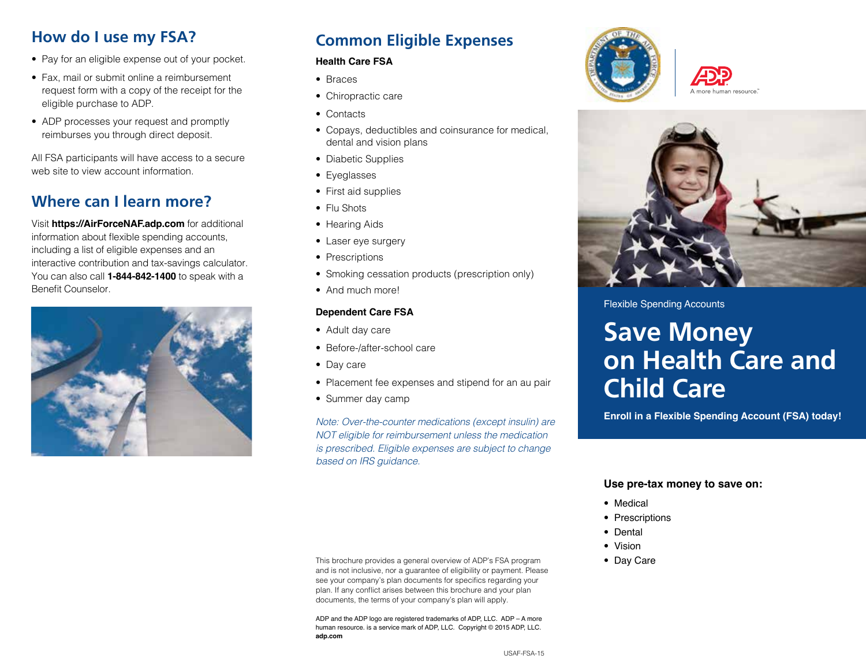### **How do I use my FSA?**

- Pay for an eligible expense out of your pocket.
- Fax, mail or submit online a reimbursement request form with a copy of the receipt for the eligible purchase to ADP.
- ADP processes your request and promptly reimburses you through direct deposit.

All FSA participants will have access to a secure web site to view account information.

#### **Where can I learn more?**

Visit **https://AirForceNAF.adp.com** for additional information about flexible spending accounts, including a list of eligible expenses and an interactive contribution and tax-savings calculator. You can also call **1-844-842-1400** to speak with a Benefit Counselor.



## **Common Eligible Expenses**

#### **Health Care FSA**

- Braces
- Chiropractic care
- Contacts
- Copays, deductibles and coinsurance for medical, dental and vision plans
- Diabetic Supplies
- Eyeglasses
- First aid supplies
- Flu Shots
- Hearing Aids
- Laser eye surgery
- Prescriptions
- Smoking cessation products (prescription only)
- And much more!

#### **Dependent Care FSA**

- Adult day care
- Before-/after-school care
- Day care
- Placement fee expenses and stipend for an au pair
- Summer day camp

*Note: Over-the-counter medications (except insulin) are NOT eligible for reimbursement unless the medication is prescribed. Eligible expenses are subject to change based on IRS guidance.*





#### Flexible Spending Accounts

# **Save Money on Health Care and Child Care**

**Enroll in a Flexible Spending Account (FSA) today!**

#### **Use pre-tax money to save on:**

- Medical
- Prescriptions
- Dental
- Vision
- Day Care

This brochure provides a general overview of ADP's FSA program and is not inclusive, nor a guarantee of eligibility or payment. Please see your company's plan documents for specifics regarding your plan. If any conflict arises between this brochure and your plan documents, the terms of your company's plan will apply.

ADP and the ADP logo are registered trademarks of ADP, LLC. ADP – A more human resource. is a service mark of ADP, LLC. Copyright © 2015 ADP, LLC. **adp.com**